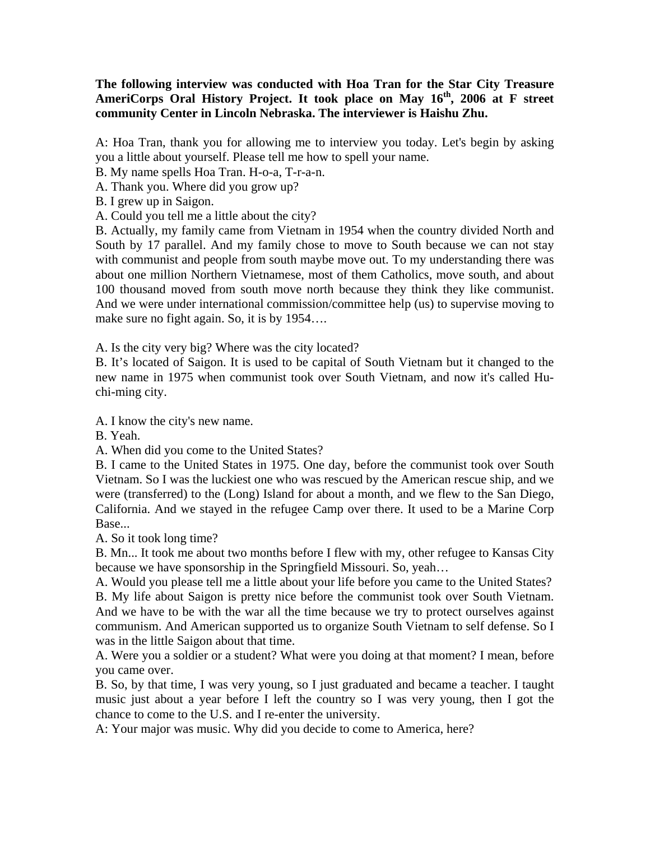## **The following interview was conducted with Hoa Tran for the Star City Treasure**  AmeriCorps Oral History Project. It took place on May 16<sup>th</sup>, 2006 at F street **community Center in Lincoln Nebraska. The interviewer is Haishu Zhu.**

A: Hoa Tran, thank you for allowing me to interview you today. Let's begin by asking you a little about yourself. Please tell me how to spell your name.

B. My name spells Hoa Tran. H-o-a, T-r-a-n.

A. Thank you. Where did you grow up?

B. I grew up in Saigon.

A. Could you tell me a little about the city?

B. Actually, my family came from Vietnam in 1954 when the country divided North and South by 17 parallel. And my family chose to move to South because we can not stay with communist and people from south maybe move out. To my understanding there was about one million Northern Vietnamese, most of them Catholics, move south, and about 100 thousand moved from south move north because they think they like communist. And we were under international commission/committee help (us) to supervise moving to make sure no fight again. So, it is by 1954....

A. Is the city very big? Where was the city located?

B. It's located of Saigon. It is used to be capital of South Vietnam but it changed to the new name in 1975 when communist took over South Vietnam, and now it's called Huchi-ming city.

A. I know the city's new name.

B. Yeah.

A. When did you come to the United States?

B. I came to the United States in 1975. One day, before the communist took over South Vietnam. So I was the luckiest one who was rescued by the American rescue ship, and we were (transferred) to the (Long) Island for about a month, and we flew to the San Diego, California. And we stayed in the refugee Camp over there. It used to be a Marine Corp Base...

A. So it took long time?

B. Mn... It took me about two months before I flew with my, other refugee to Kansas City because we have sponsorship in the Springfield Missouri. So, yeah…

A. Would you please tell me a little about your life before you came to the United States? B. My life about Saigon is pretty nice before the communist took over South Vietnam. And we have to be with the war all the time because we try to protect ourselves against communism. And American supported us to organize South Vietnam to self defense. So I was in the little Saigon about that time.

A. Were you a soldier or a student? What were you doing at that moment? I mean, before you came over.

B. So, by that time, I was very young, so I just graduated and became a teacher. I taught music just about a year before I left the country so I was very young, then I got the chance to come to the U.S. and I re-enter the university.

A: Your major was music. Why did you decide to come to America, here?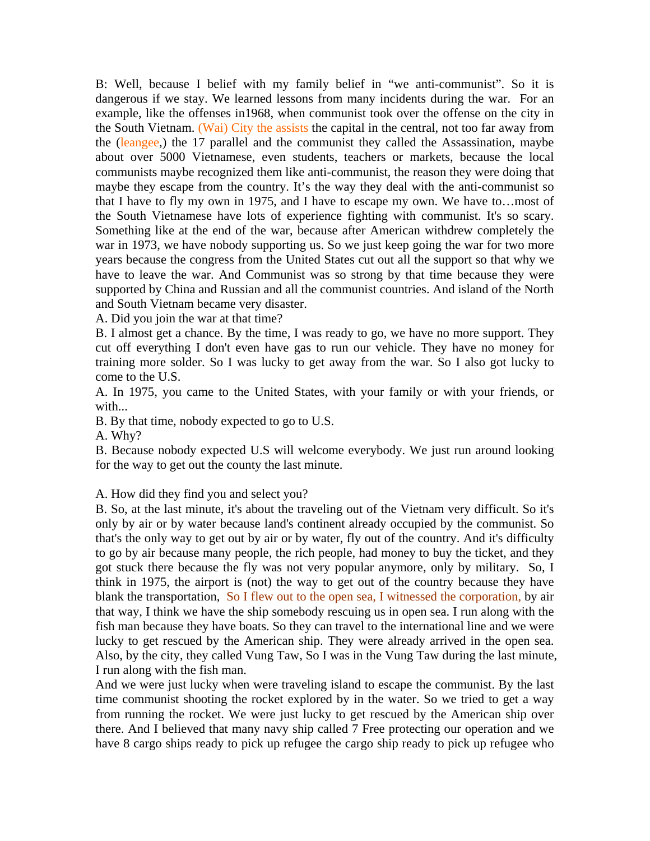B: Well, because I belief with my family belief in "we anti-communist". So it is dangerous if we stay. We learned lessons from many incidents during the war. For an example, like the offenses in1968, when communist took over the offense on the city in the South Vietnam. (Wai) City the assists the capital in the central, not too far away from the (leangee,) the 17 parallel and the communist they called the Assassination, maybe about over 5000 Vietnamese, even students, teachers or markets, because the local communists maybe recognized them like anti-communist, the reason they were doing that maybe they escape from the country. It's the way they deal with the anti-communist so that I have to fly my own in 1975, and I have to escape my own. We have to…most of the South Vietnamese have lots of experience fighting with communist. It's so scary. Something like at the end of the war, because after American withdrew completely the war in 1973, we have nobody supporting us. So we just keep going the war for two more years because the congress from the United States cut out all the support so that why we have to leave the war. And Communist was so strong by that time because they were supported by China and Russian and all the communist countries. And island of the North and South Vietnam became very disaster.

A. Did you join the war at that time?

B. I almost get a chance. By the time, I was ready to go, we have no more support. They cut off everything I don't even have gas to run our vehicle. They have no money for training more solder. So I was lucky to get away from the war. So I also got lucky to come to the U.S.

A. In 1975, you came to the United States, with your family or with your friends, or with...

B. By that time, nobody expected to go to U.S.

A. Why?

B. Because nobody expected U.S will welcome everybody. We just run around looking for the way to get out the county the last minute.

A. How did they find you and select you?

B. So, at the last minute, it's about the traveling out of the Vietnam very difficult. So it's only by air or by water because land's continent already occupied by the communist. So that's the only way to get out by air or by water, fly out of the country. And it's difficulty to go by air because many people, the rich people, had money to buy the ticket, and they got stuck there because the fly was not very popular anymore, only by military. So, I think in 1975, the airport is (not) the way to get out of the country because they have blank the transportation, So I flew out to the open sea, I witnessed the corporation, by air that way, I think we have the ship somebody rescuing us in open sea. I run along with the fish man because they have boats. So they can travel to the international line and we were lucky to get rescued by the American ship. They were already arrived in the open sea. Also, by the city, they called Vung Taw, So I was in the Vung Taw during the last minute, I run along with the fish man.

And we were just lucky when were traveling island to escape the communist. By the last time communist shooting the rocket explored by in the water. So we tried to get a way from running the rocket. We were just lucky to get rescued by the American ship over there. And I believed that many navy ship called 7 Free protecting our operation and we have 8 cargo ships ready to pick up refugee the cargo ship ready to pick up refugee who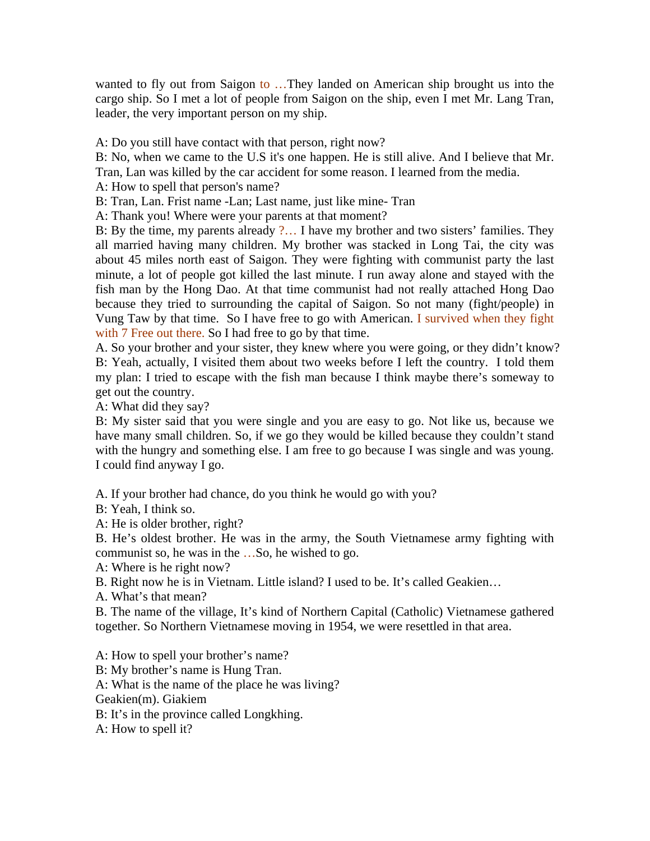wanted to fly out from Saigon to …They landed on American ship brought us into the cargo ship. So I met a lot of people from Saigon on the ship, even I met Mr. Lang Tran, leader, the very important person on my ship.

A: Do you still have contact with that person, right now?

B: No, when we came to the U.S it's one happen. He is still alive. And I believe that Mr. Tran, Lan was killed by the car accident for some reason. I learned from the media.

A: How to spell that person's name?

B: Tran, Lan. Frist name -Lan; Last name, just like mine- Tran

A: Thank you! Where were your parents at that moment?

B: By the time, my parents already ?... I have my brother and two sisters' families. They all married having many children. My brother was stacked in Long Tai, the city was about 45 miles north east of Saigon. They were fighting with communist party the last minute, a lot of people got killed the last minute. I run away alone and stayed with the fish man by the Hong Dao. At that time communist had not really attached Hong Dao because they tried to surrounding the capital of Saigon. So not many (fight/people) in Vung Taw by that time. So I have free to go with American. I survived when they fight with 7 Free out there. So I had free to go by that time.

A. So your brother and your sister, they knew where you were going, or they didn't know? B: Yeah, actually, I visited them about two weeks before I left the country. I told them my plan: I tried to escape with the fish man because I think maybe there's someway to get out the country.

A: What did they say?

B: My sister said that you were single and you are easy to go. Not like us, because we have many small children. So, if we go they would be killed because they couldn't stand with the hungry and something else. I am free to go because I was single and was young. I could find anyway I go.

A. If your brother had chance, do you think he would go with you?

B: Yeah, I think so.

A: He is older brother, right?

B. He's oldest brother. He was in the army, the South Vietnamese army fighting with communist so, he was in the …So, he wished to go.

A: Where is he right now?

B. Right now he is in Vietnam. Little island? I used to be. It's called Geakien…

A. What's that mean?

B. The name of the village, It's kind of Northern Capital (Catholic) Vietnamese gathered together. So Northern Vietnamese moving in 1954, we were resettled in that area.

A: How to spell your brother's name? B: My brother's name is Hung Tran. A: What is the name of the place he was living? Geakien(m). Giakiem B: It's in the province called Longkhing. A: How to spell it?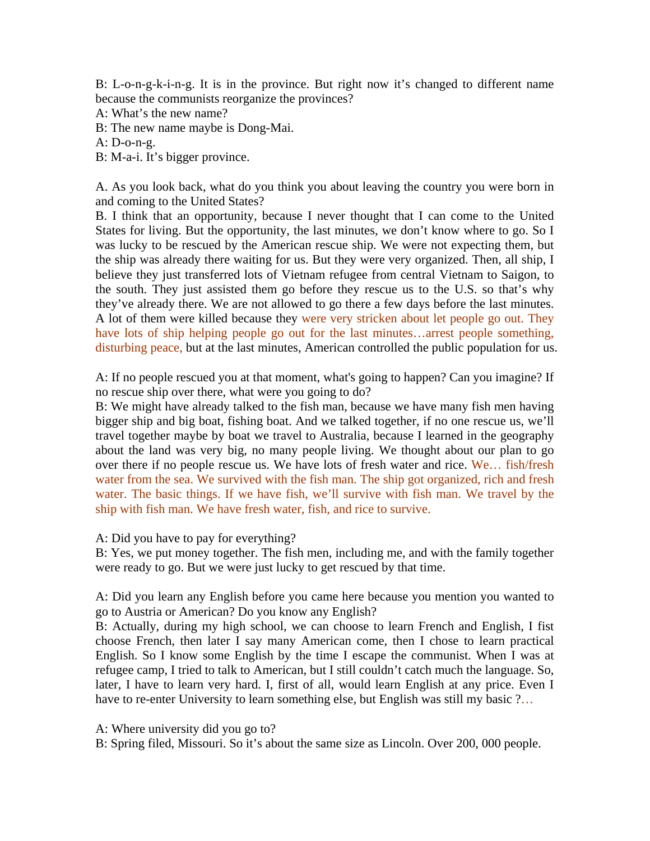B: L-o-n-g-k-i-n-g. It is in the province. But right now it's changed to different name because the communists reorganize the provinces?

A: What's the new name?

B: The new name maybe is Dong-Mai.

A: D-o-n-g.

B: M-a-i. It's bigger province.

A. As you look back, what do you think you about leaving the country you were born in and coming to the United States?

B. I think that an opportunity, because I never thought that I can come to the United States for living. But the opportunity, the last minutes, we don't know where to go. So I was lucky to be rescued by the American rescue ship. We were not expecting them, but the ship was already there waiting for us. But they were very organized. Then, all ship, I believe they just transferred lots of Vietnam refugee from central Vietnam to Saigon, to the south. They just assisted them go before they rescue us to the U.S. so that's why they've already there. We are not allowed to go there a few days before the last minutes. A lot of them were killed because they were very stricken about let people go out. They have lots of ship helping people go out for the last minutes...arrest people something, disturbing peace, but at the last minutes, American controlled the public population for us.

A: If no people rescued you at that moment, what's going to happen? Can you imagine? If no rescue ship over there, what were you going to do?

B: We might have already talked to the fish man, because we have many fish men having bigger ship and big boat, fishing boat. And we talked together, if no one rescue us, we'll travel together maybe by boat we travel to Australia, because I learned in the geography about the land was very big, no many people living. We thought about our plan to go over there if no people rescue us. We have lots of fresh water and rice. We... fish/fresh water from the sea. We survived with the fish man. The ship got organized, rich and fresh water. The basic things. If we have fish, we'll survive with fish man. We travel by the ship with fish man. We have fresh water, fish, and rice to survive.

A: Did you have to pay for everything?

B: Yes, we put money together. The fish men, including me, and with the family together were ready to go. But we were just lucky to get rescued by that time.

A: Did you learn any English before you came here because you mention you wanted to go to Austria or American? Do you know any English?

B: Actually, during my high school, we can choose to learn French and English, I fist choose French, then later I say many American come, then I chose to learn practical English. So I know some English by the time I escape the communist. When I was at refugee camp, I tried to talk to American, but I still couldn't catch much the language. So, later, I have to learn very hard. I, first of all, would learn English at any price. Even I have to re-enter University to learn something else, but English was still my basic ?...

A: Where university did you go to?

B: Spring filed, Missouri. So it's about the same size as Lincoln. Over 200, 000 people.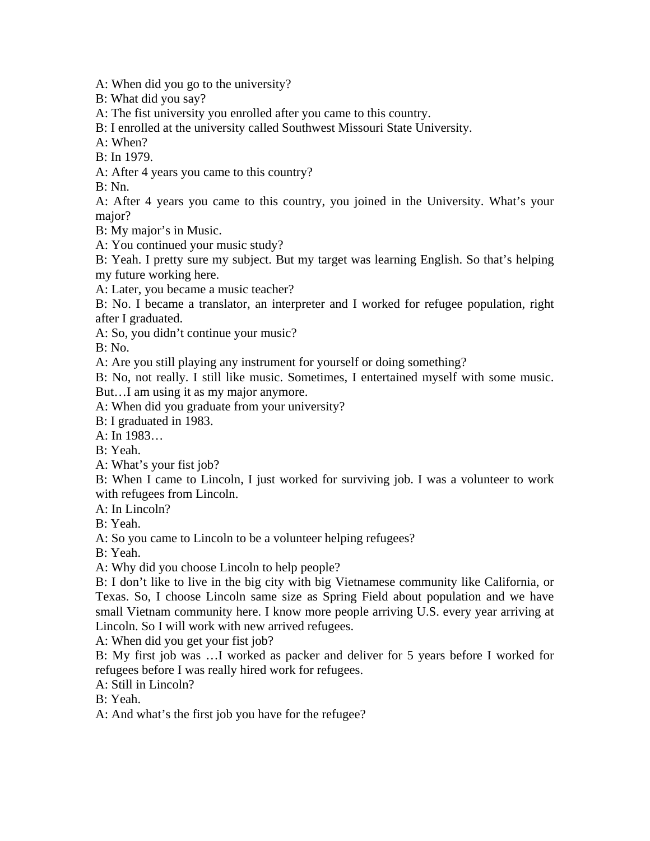A: When did you go to the university?

B: What did you say?

A: The fist university you enrolled after you came to this country.

B: I enrolled at the university called Southwest Missouri State University.

A: When?

B: In 1979.

A: After 4 years you came to this country?

B: Nn.

A: After 4 years you came to this country, you joined in the University. What's your major?

B: My major's in Music.

A: You continued your music study?

B: Yeah. I pretty sure my subject. But my target was learning English. So that's helping my future working here.

A: Later, you became a music teacher?

B: No. I became a translator, an interpreter and I worked for refugee population, right after I graduated.

A: So, you didn't continue your music?

 $B: No.$ 

A: Are you still playing any instrument for yourself or doing something?

B: No, not really. I still like music. Sometimes, I entertained myself with some music. But…I am using it as my major anymore.

A: When did you graduate from your university?

B: I graduated in 1983.

 $A:$  In 1983

B: Yeah.

A: What's your fist job?

B: When I came to Lincoln, I just worked for surviving job. I was a volunteer to work with refugees from Lincoln.

A: In Lincoln?

B: Yeah.

A: So you came to Lincoln to be a volunteer helping refugees?

B: Yeah.

A: Why did you choose Lincoln to help people?

B: I don't like to live in the big city with big Vietnamese community like California, or Texas. So, I choose Lincoln same size as Spring Field about population and we have small Vietnam community here. I know more people arriving U.S. every year arriving at Lincoln. So I will work with new arrived refugees.

A: When did you get your fist job?

B: My first job was …I worked as packer and deliver for 5 years before I worked for refugees before I was really hired work for refugees.

A: Still in Lincoln?

B: Yeah.

A: And what's the first job you have for the refugee?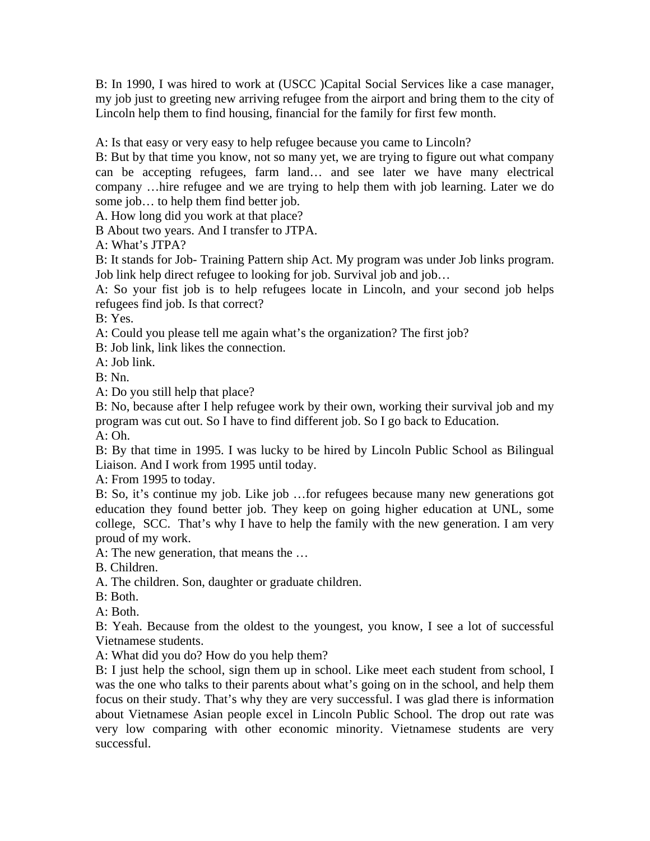B: In 1990, I was hired to work at (USCC )Capital Social Services like a case manager, my job just to greeting new arriving refugee from the airport and bring them to the city of Lincoln help them to find housing, financial for the family for first few month.

A: Is that easy or very easy to help refugee because you came to Lincoln?

B: But by that time you know, not so many yet, we are trying to figure out what company can be accepting refugees, farm land… and see later we have many electrical company …hire refugee and we are trying to help them with job learning. Later we do some job… to help them find better job.

A. How long did you work at that place?

B About two years. And I transfer to JTPA.

A: What's JTPA?

B: It stands for Job- Training Pattern ship Act. My program was under Job links program. Job link help direct refugee to looking for job. Survival job and job…

A: So your fist job is to help refugees locate in Lincoln, and your second job helps refugees find job. Is that correct?

B: Yes.

A: Could you please tell me again what's the organization? The first job?

B: Job link, link likes the connection.

A: Job link.

B: Nn.

A: Do you still help that place?

B: No, because after I help refugee work by their own, working their survival job and my program was cut out. So I have to find different job. So I go back to Education.  $A:Oh.$ 

B: By that time in 1995. I was lucky to be hired by Lincoln Public School as Bilingual Liaison. And I work from 1995 until today.

A: From 1995 to today.

B: So, it's continue my job. Like job …for refugees because many new generations got education they found better job. They keep on going higher education at UNL, some college, SCC. That's why I have to help the family with the new generation. I am very proud of my work.

A: The new generation, that means the …

B. Children.

A. The children. Son, daughter or graduate children.

B: Both.

A: Both.

B: Yeah. Because from the oldest to the youngest, you know, I see a lot of successful Vietnamese students.

A: What did you do? How do you help them?

B: I just help the school, sign them up in school. Like meet each student from school, I was the one who talks to their parents about what's going on in the school, and help them focus on their study. That's why they are very successful. I was glad there is information about Vietnamese Asian people excel in Lincoln Public School. The drop out rate was very low comparing with other economic minority. Vietnamese students are very successful.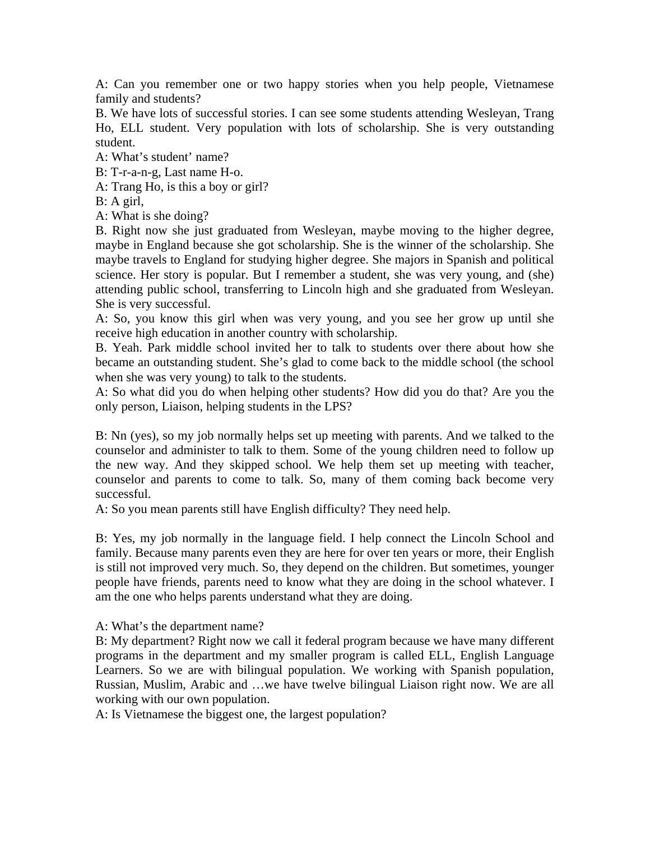A: Can you remember one or two happy stories when you help people, Vietnamese family and students?

B. We have lots of successful stories. I can see some students attending Wesleyan, Trang Ho, ELL student. Very population with lots of scholarship. She is very outstanding student.

A: What's student' name?

B: T-r-a-n-g, Last name H-o.

A: Trang Ho, is this a boy or girl?

B: A girl,

A: What is she doing?

B. Right now she just graduated from Wesleyan, maybe moving to the higher degree, maybe in England because she got scholarship. She is the winner of the scholarship. She maybe travels to England for studying higher degree. She majors in Spanish and political science. Her story is popular. But I remember a student, she was very young, and (she) attending public school, transferring to Lincoln high and she graduated from Wesleyan. She is very successful.

A: So, you know this girl when was very young, and you see her grow up until she receive high education in another country with scholarship.

B. Yeah. Park middle school invited her to talk to students over there about how she became an outstanding student. She's glad to come back to the middle school (the school when she was very young) to talk to the students.

A: So what did you do when helping other students? How did you do that? Are you the only person, Liaison, helping students in the LPS?

B: Nn (yes), so my job normally helps set up meeting with parents. And we talked to the counselor and administer to talk to them. Some of the young children need to follow up the new way. And they skipped school. We help them set up meeting with teacher, counselor and parents to come to talk. So, many of them coming back become very successful.

A: So you mean parents still have English difficulty? They need help.

B: Yes, my job normally in the language field. I help connect the Lincoln School and family. Because many parents even they are here for over ten years or more, their English is still not improved very much. So, they depend on the children. But sometimes, younger people have friends, parents need to know what they are doing in the school whatever. I am the one who helps parents understand what they are doing.

## A: What's the department name?

B: My department? Right now we call it federal program because we have many different programs in the department and my smaller program is called ELL, English Language Learners. So we are with bilingual population. We working with Spanish population, Russian, Muslim, Arabic and …we have twelve bilingual Liaison right now. We are all working with our own population.

A: Is Vietnamese the biggest one, the largest population?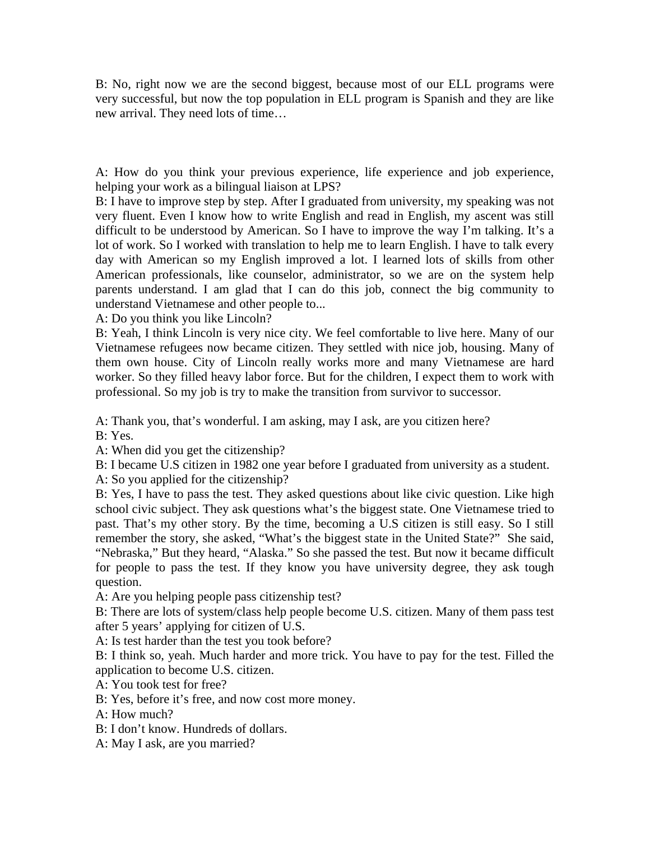B: No, right now we are the second biggest, because most of our ELL programs were very successful, but now the top population in ELL program is Spanish and they are like new arrival. They need lots of time…

A: How do you think your previous experience, life experience and job experience, helping your work as a bilingual liaison at LPS?

B: I have to improve step by step. After I graduated from university, my speaking was not very fluent. Even I know how to write English and read in English, my ascent was still difficult to be understood by American. So I have to improve the way I'm talking. It's a lot of work. So I worked with translation to help me to learn English. I have to talk every day with American so my English improved a lot. I learned lots of skills from other American professionals, like counselor, administrator, so we are on the system help parents understand. I am glad that I can do this job, connect the big community to understand Vietnamese and other people to...

A: Do you think you like Lincoln?

B: Yeah, I think Lincoln is very nice city. We feel comfortable to live here. Many of our Vietnamese refugees now became citizen. They settled with nice job, housing. Many of them own house. City of Lincoln really works more and many Vietnamese are hard worker. So they filled heavy labor force. But for the children, I expect them to work with professional. So my job is try to make the transition from survivor to successor.

A: Thank you, that's wonderful. I am asking, may I ask, are you citizen here?

B: Yes.

A: When did you get the citizenship?

B: I became U.S citizen in 1982 one year before I graduated from university as a student.

A: So you applied for the citizenship?

B: Yes, I have to pass the test. They asked questions about like civic question. Like high school civic subject. They ask questions what's the biggest state. One Vietnamese tried to past. That's my other story. By the time, becoming a U.S citizen is still easy. So I still remember the story, she asked, "What's the biggest state in the United State?" She said, "Nebraska," But they heard, "Alaska." So she passed the test. But now it became difficult for people to pass the test. If they know you have university degree, they ask tough question.

A: Are you helping people pass citizenship test?

B: There are lots of system/class help people become U.S. citizen. Many of them pass test after 5 years' applying for citizen of U.S.

A: Is test harder than the test you took before?

B: I think so, yeah. Much harder and more trick. You have to pay for the test. Filled the application to become U.S. citizen.

A: You took test for free?

B: Yes, before it's free, and now cost more money.

A: How much?

B: I don't know. Hundreds of dollars.

A: May I ask, are you married?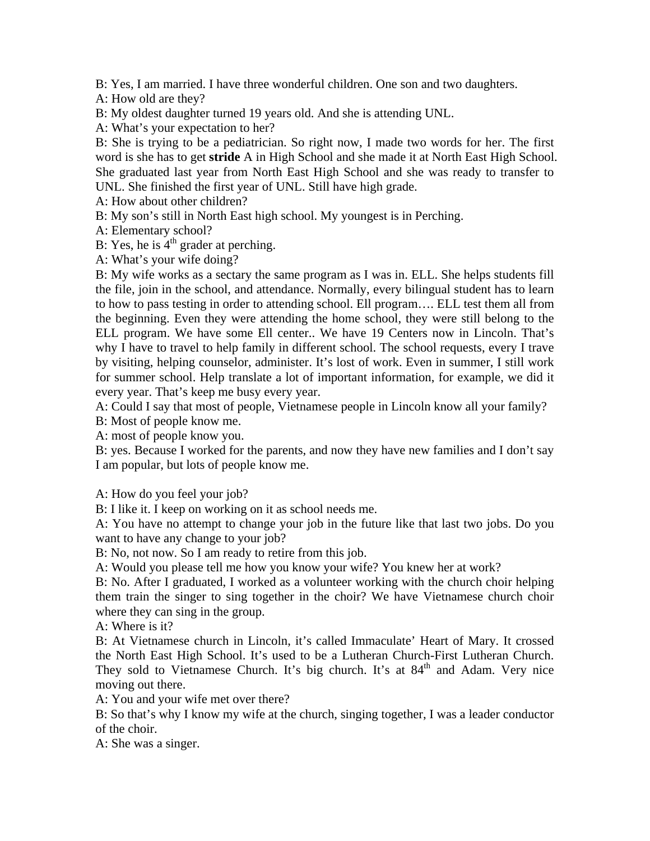B: Yes, I am married. I have three wonderful children. One son and two daughters.

A: How old are they?

B: My oldest daughter turned 19 years old. And she is attending UNL.

A: What's your expectation to her?

B: She is trying to be a pediatrician. So right now, I made two words for her. The first word is she has to get **stride** A in High School and she made it at North East High School. She graduated last year from North East High School and she was ready to transfer to UNL. She finished the first year of UNL. Still have high grade.

A: How about other children?

B: My son's still in North East high school. My youngest is in Perching.

A: Elementary school?

B: Yes, he is  $4<sup>th</sup>$  grader at perching.

A: What's your wife doing?

B: My wife works as a sectary the same program as I was in. ELL. She helps students fill the file, join in the school, and attendance. Normally, every bilingual student has to learn to how to pass testing in order to attending school. Ell program…. ELL test them all from the beginning. Even they were attending the home school, they were still belong to the ELL program. We have some Ell center.. We have 19 Centers now in Lincoln. That's why I have to travel to help family in different school. The school requests, every I trave by visiting, helping counselor, administer. It's lost of work. Even in summer, I still work for summer school. Help translate a lot of important information, for example, we did it every year. That's keep me busy every year.

A: Could I say that most of people, Vietnamese people in Lincoln know all your family?

B: Most of people know me.

A: most of people know you.

B: yes. Because I worked for the parents, and now they have new families and I don't say I am popular, but lots of people know me.

A: How do you feel your job?

B: I like it. I keep on working on it as school needs me.

A: You have no attempt to change your job in the future like that last two jobs. Do you want to have any change to your job?

B: No, not now. So I am ready to retire from this job.

A: Would you please tell me how you know your wife? You knew her at work?

B: No. After I graduated, I worked as a volunteer working with the church choir helping them train the singer to sing together in the choir? We have Vietnamese church choir where they can sing in the group.

A: Where is it?

B: At Vietnamese church in Lincoln, it's called Immaculate' Heart of Mary. It crossed the North East High School. It's used to be a Lutheran Church-First Lutheran Church. They sold to Vietnamese Church. It's big church. It's at 84<sup>th</sup> and Adam. Very nice moving out there.

A: You and your wife met over there?

B: So that's why I know my wife at the church, singing together, I was a leader conductor of the choir.

A: She was a singer.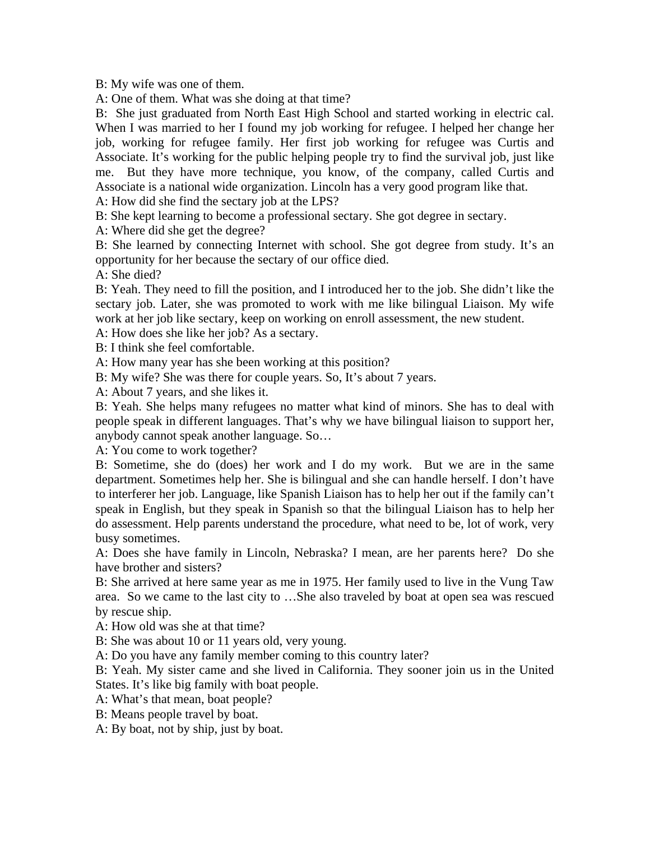B: My wife was one of them.

A: One of them. What was she doing at that time?

B: She just graduated from North East High School and started working in electric cal. When I was married to her I found my job working for refugee. I helped her change her job, working for refugee family. Her first job working for refugee was Curtis and Associate. It's working for the public helping people try to find the survival job, just like me. But they have more technique, you know, of the company, called Curtis and Associate is a national wide organization. Lincoln has a very good program like that.

A: How did she find the sectary job at the LPS?

B: She kept learning to become a professional sectary. She got degree in sectary.

A: Where did she get the degree?

B: She learned by connecting Internet with school. She got degree from study. It's an opportunity for her because the sectary of our office died.

A: She died?

B: Yeah. They need to fill the position, and I introduced her to the job. She didn't like the sectary job. Later, she was promoted to work with me like bilingual Liaison. My wife work at her job like sectary, keep on working on enroll assessment, the new student.

A: How does she like her job? As a sectary.

B: I think she feel comfortable.

A: How many year has she been working at this position?

B: My wife? She was there for couple years. So, It's about 7 years.

A: About 7 years, and she likes it.

B: Yeah. She helps many refugees no matter what kind of minors. She has to deal with people speak in different languages. That's why we have bilingual liaison to support her, anybody cannot speak another language. So…

A: You come to work together?

B: Sometime, she do (does) her work and I do my work. But we are in the same department. Sometimes help her. She is bilingual and she can handle herself. I don't have to interferer her job. Language, like Spanish Liaison has to help her out if the family can't speak in English, but they speak in Spanish so that the bilingual Liaison has to help her do assessment. Help parents understand the procedure, what need to be, lot of work, very busy sometimes.

A: Does she have family in Lincoln, Nebraska? I mean, are her parents here? Do she have brother and sisters?

B: She arrived at here same year as me in 1975. Her family used to live in the Vung Taw area. So we came to the last city to …She also traveled by boat at open sea was rescued by rescue ship.

A: How old was she at that time?

B: She was about 10 or 11 years old, very young.

A: Do you have any family member coming to this country later?

B: Yeah. My sister came and she lived in California. They sooner join us in the United States. It's like big family with boat people.

A: What's that mean, boat people?

B: Means people travel by boat.

A: By boat, not by ship, just by boat.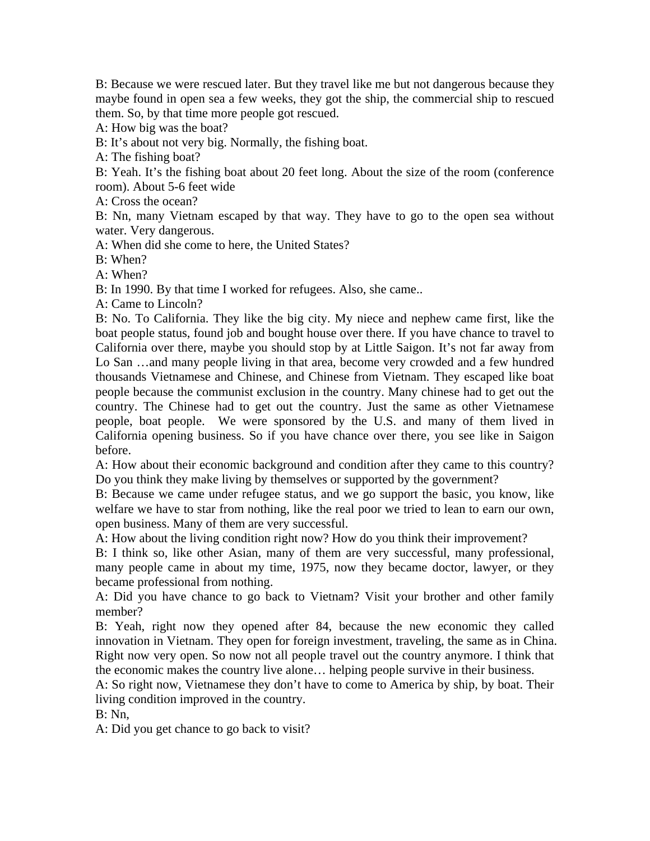B: Because we were rescued later. But they travel like me but not dangerous because they maybe found in open sea a few weeks, they got the ship, the commercial ship to rescued them. So, by that time more people got rescued.

A: How big was the boat?

B: It's about not very big. Normally, the fishing boat.

A: The fishing boat?

B: Yeah. It's the fishing boat about 20 feet long. About the size of the room (conference room). About 5-6 feet wide

A: Cross the ocean?

B: Nn, many Vietnam escaped by that way. They have to go to the open sea without water. Very dangerous.

A: When did she come to here, the United States?

B: When?

A: When?

B: In 1990. By that time I worked for refugees. Also, she came..

A: Came to Lincoln?

B: No. To California. They like the big city. My niece and nephew came first, like the boat people status, found job and bought house over there. If you have chance to travel to California over there, maybe you should stop by at Little Saigon. It's not far away from Lo San …and many people living in that area, become very crowded and a few hundred thousands Vietnamese and Chinese, and Chinese from Vietnam. They escaped like boat people because the communist exclusion in the country. Many chinese had to get out the country. The Chinese had to get out the country. Just the same as other Vietnamese people, boat people. We were sponsored by the U.S. and many of them lived in California opening business. So if you have chance over there, you see like in Saigon before.

A: How about their economic background and condition after they came to this country? Do you think they make living by themselves or supported by the government?

B: Because we came under refugee status, and we go support the basic, you know, like welfare we have to star from nothing, like the real poor we tried to lean to earn our own, open business. Many of them are very successful.

A: How about the living condition right now? How do you think their improvement?

B: I think so, like other Asian, many of them are very successful, many professional, many people came in about my time, 1975, now they became doctor, lawyer, or they became professional from nothing.

A: Did you have chance to go back to Vietnam? Visit your brother and other family member?

B: Yeah, right now they opened after 84, because the new economic they called innovation in Vietnam. They open for foreign investment, traveling, the same as in China. Right now very open. So now not all people travel out the country anymore. I think that the economic makes the country live alone… helping people survive in their business.

A: So right now, Vietnamese they don't have to come to America by ship, by boat. Their living condition improved in the country.

B: Nn,

A: Did you get chance to go back to visit?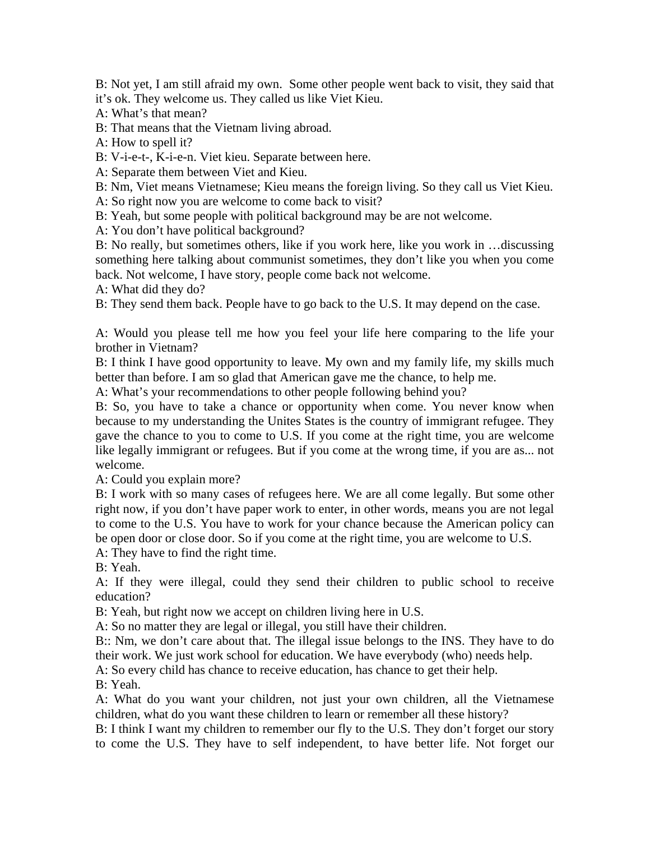B: Not yet, I am still afraid my own. Some other people went back to visit, they said that it's ok. They welcome us. They called us like Viet Kieu.

A: What's that mean?

B: That means that the Vietnam living abroad.

A: How to spell it?

B: V-i-e-t-, K-i-e-n. Viet kieu. Separate between here.

A: Separate them between Viet and Kieu.

B: Nm, Viet means Vietnamese; Kieu means the foreign living. So they call us Viet Kieu.

A: So right now you are welcome to come back to visit?

B: Yeah, but some people with political background may be are not welcome.

A: You don't have political background?

B: No really, but sometimes others, like if you work here, like you work in …discussing something here talking about communist sometimes, they don't like you when you come back. Not welcome, I have story, people come back not welcome.

A: What did they do?

B: They send them back. People have to go back to the U.S. It may depend on the case.

A: Would you please tell me how you feel your life here comparing to the life your brother in Vietnam?

B: I think I have good opportunity to leave. My own and my family life, my skills much better than before. I am so glad that American gave me the chance, to help me.

A: What's your recommendations to other people following behind you?

B: So, you have to take a chance or opportunity when come. You never know when because to my understanding the Unites States is the country of immigrant refugee. They gave the chance to you to come to U.S. If you come at the right time, you are welcome like legally immigrant or refugees. But if you come at the wrong time, if you are as... not welcome.

A: Could you explain more?

B: I work with so many cases of refugees here. We are all come legally. But some other right now, if you don't have paper work to enter, in other words, means you are not legal to come to the U.S. You have to work for your chance because the American policy can be open door or close door. So if you come at the right time, you are welcome to U.S.

A: They have to find the right time.

B: Yeah.

A: If they were illegal, could they send their children to public school to receive education?

B: Yeah, but right now we accept on children living here in U.S.

A: So no matter they are legal or illegal, you still have their children.

B:: Nm, we don't care about that. The illegal issue belongs to the INS. They have to do their work. We just work school for education. We have everybody (who) needs help.

A: So every child has chance to receive education, has chance to get their help.

B: Yeah.

A: What do you want your children, not just your own children, all the Vietnamese children, what do you want these children to learn or remember all these history?

B: I think I want my children to remember our fly to the U.S. They don't forget our story to come the U.S. They have to self independent, to have better life. Not forget our